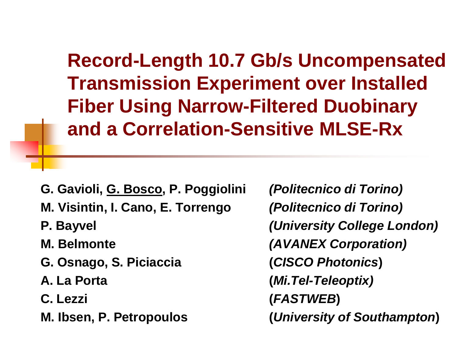**Record-Length 10.7 Gb/s Uncompensated Transmission Experiment over Installed Fiber Using Narrow-Filtered Duobinary and a Correlation-Sensitive MLSE-Rx**

**G. Gavioli, G. Bosco, P. Poggiolini** *(Politecnico di Torino)* **M. Visintin, I. Cano, E. Torrengo** *(Politecnico di Torino)* **P. Bayvel** *(University College London)* **M. Belmonte** *(AVANEX Corporation)* **G. Osnago, S. Piciaccia (***CISCO Photonics***) A. La Porta (***Mi.Tel-Teleoptix)* **C. Lezzi (***FASTWEB***) M. Ibsen, P. Petropoulos (***University of Southampton***)**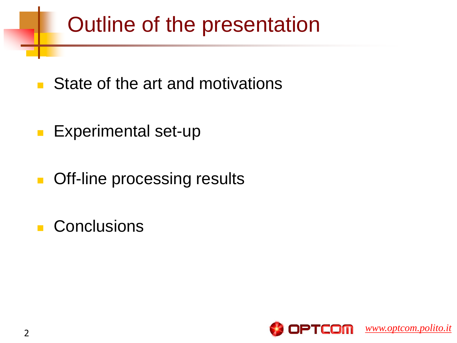# Outline of the presentation

- State of the art and motivations
- **Experimental set-up**
- **Case Contact Processing results**
- **Conclusions**

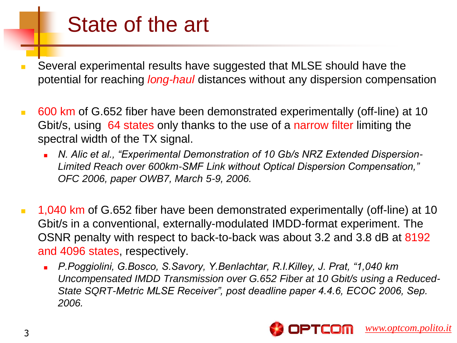### State of the art

- Several experimental results have suggested that MLSE should have the potential for reaching *long-haul* distances without any dispersion compensation
- 600 km of G.652 fiber have been demonstrated experimentally (off-line) at 10 Gbit/s, using 64 states only thanks to the use of a narrow filter limiting the spectral width of the TX signal.
	- *N. Alic et al., "Experimental Demonstration of 10 Gb/s NRZ Extended Dispersion-Limited Reach over 600km-SMF Link without Optical Dispersion Compensation," OFC 2006, paper OWB7, March 5-9, 2006.*
- **1,040 km of G.652 fiber have been demonstrated experimentally (off-line) at 10** Gbit/s in a conventional, externally-modulated IMDD-format experiment. The OSNR penalty with respect to back-to-back was about 3.2 and 3.8 dB at 8192 and 4096 states, respectively.
	- *P.Poggiolini, G.Bosco, S.Savory, Y.Benlachtar, R.I.Killey, J. Prat, "1,040 km Uncompensated IMDD Transmission over G.652 Fiber at 10 Gbit/s using a Reduced-State SQRT-Metric MLSE Receiver", post deadline paper 4.4.6, ECOC 2006, Sep. 2006.*

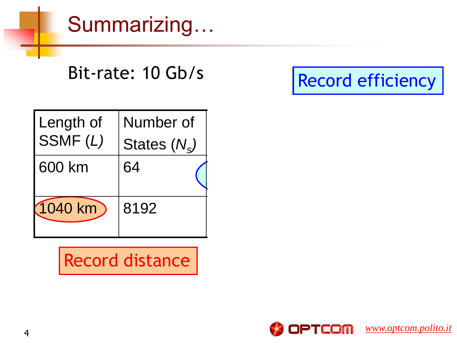Summarizing…

Bit-rate: 10 Gb/s

Record efficiency

| Length of  | Number of      |  |
|------------|----------------|--|
| SSMF(L)    | States $(N_s)$ |  |
| 600 km     | 64             |  |
| $(1040$ km | 8192           |  |

Record distance

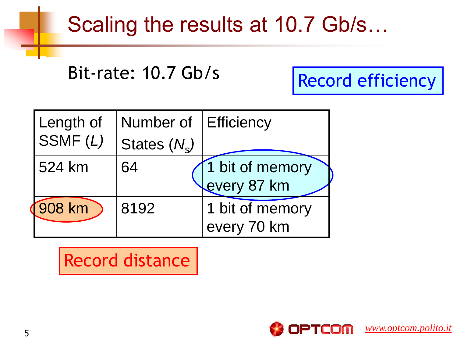### Scaling the results at 10.7 Gb/s…

Bit-rate: 10.7 Gb/s

Record efficiency

| Length of | Number of      | <b>Efficiency</b>              |
|-----------|----------------|--------------------------------|
| SSMF(L)   | States $(N_s)$ |                                |
| 524 km    | 64             | 1 bit of memory<br>every 87 km |
| 908 km    | 8192           | 1 bit of memory<br>every 70 km |

#### Record distance

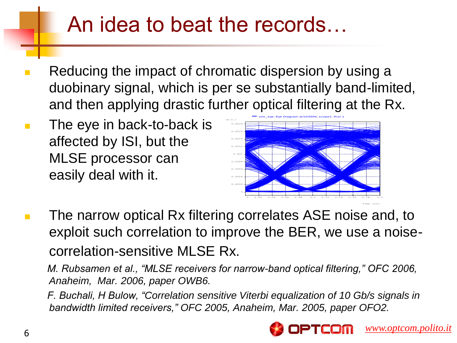### An idea to beat the records…

- Reducing the impact of chromatic dispersion by using a duobinary signal, which is per se substantially band-limited, and then applying drastic further optical filtering at the Rx.
- **The eye in back-to-back is** affected by ISI, but the MLSE processor can easily deal with it.



**The narrow optical Rx filtering correlates ASE noise and, to** exploit such correlation to improve the BER, we use a noisecorrelation-sensitive MLSE Rx.

 *M. Rubsamen et al., "MLSE receivers for narrow-band optical filtering," OFC 2006, Anaheim, Mar. 2006, paper OWB6.*

 *F. Buchali, H Bulow, "Correlation sensitive Viterbi equalization of 10 Gb/s signals in bandwidth limited receivers," OFC 2005, Anaheim, Mar. 2005, paper OFO2.*

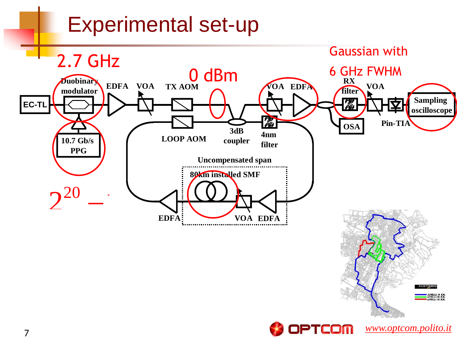### Experimental set-up

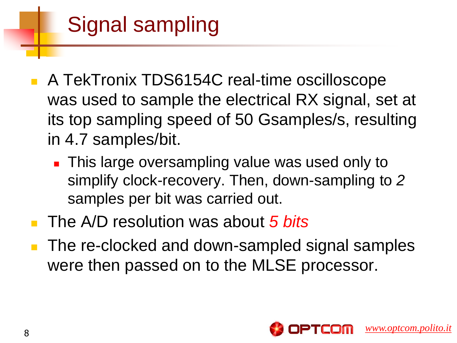# Signal sampling

- A TekTronix TDS6154C real-time oscilloscope was used to sample the electrical RX signal, set at its top sampling speed of 50 Gsamples/s, resulting in 4.7 samples/bit.
	- **This large oversampling value was used only to** simplify clock-recovery. Then, down-sampling to *2*  samples per bit was carried out.
- The A/D resolution was about *5 bits*
- **The re-clocked and down-sampled signal samples** were then passed on to the MLSE processor.

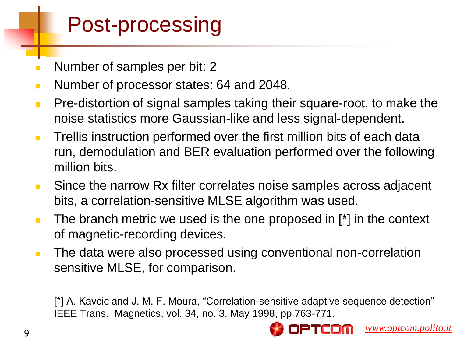### Post-processing

- **Number of samples per bit: 2**
- **Number of processor states: 64 and 2048.**
- **Pre-distortion of signal samples taking their square-root, to make the** noise statistics more Gaussian-like and less signal-dependent.
- **Trellis instruction performed over the first million bits of each data** run, demodulation and BER evaluation performed over the following million bits.
- **Since the narrow Rx filter correlates noise samples across adjacent** bits, a correlation-sensitive MLSE algorithm was used.
- $\blacksquare$  The branch metric we used is the one proposed in  $\lceil$ <sup>\*</sup> in the context of magnetic-recording devices.
- **The data were also processed using conventional non-correlation** sensitive MLSE, for comparison.

[\*] A. Kavcic and J. M. F. Moura, "Correlation-sensitive adaptive sequence detection" IEEE Trans. Magnetics, vol. 34, no. 3, May 1998, pp 763-771.

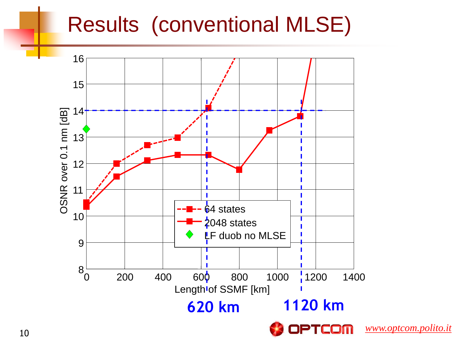### Results (conventional MLSE)

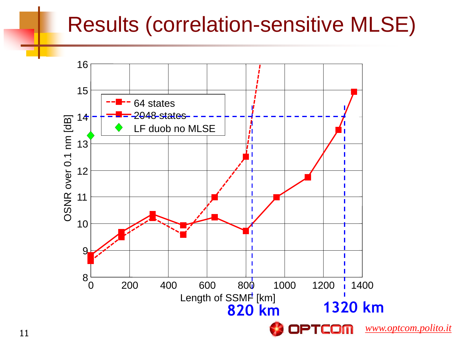### Results (correlation-sensitive MLSE)

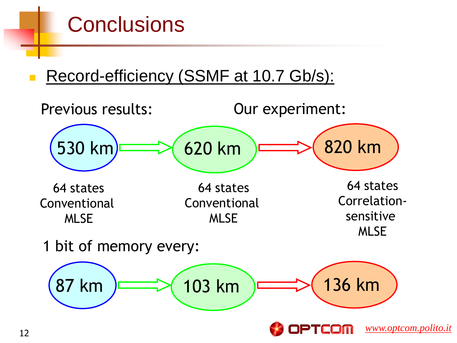# **Conclusions**

Record-efficiency (SSMF at 10.7 Gb/s):

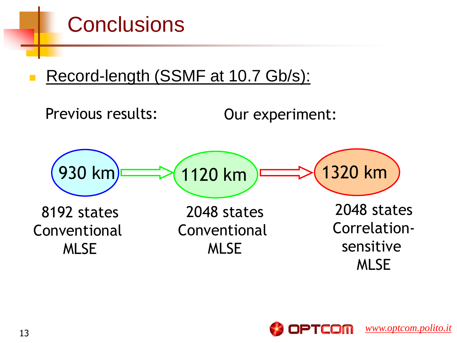

Record-length (SSMF at 10.7 Gb/s):